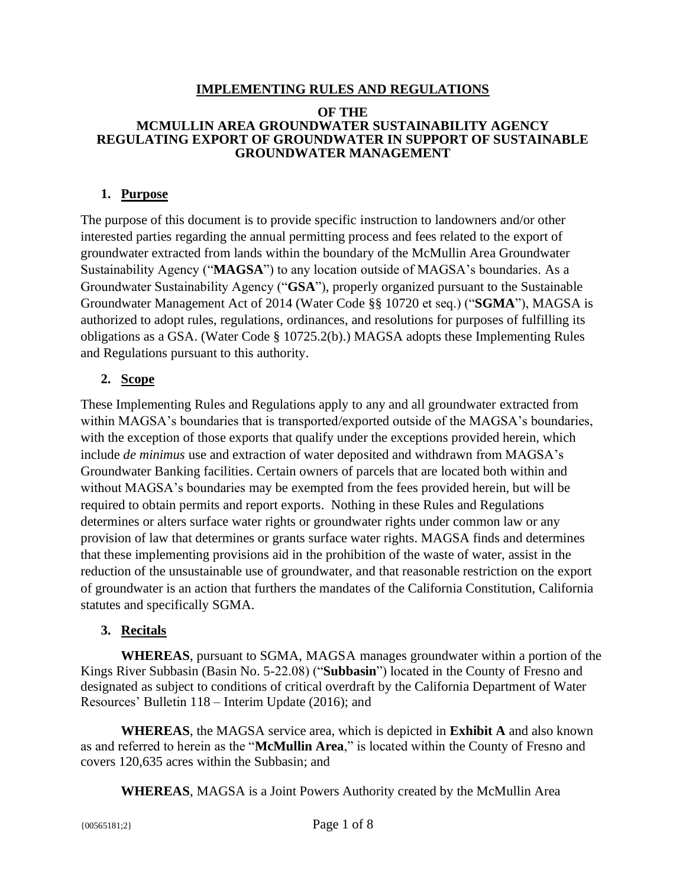#### **IMPLEMENTING RULES AND REGULATIONS**

#### **OF THE MCMULLIN AREA GROUNDWATER SUSTAINABILITY AGENCY REGULATING EXPORT OF GROUNDWATER IN SUPPORT OF SUSTAINABLE GROUNDWATER MANAGEMENT**

# **1. Purpose**

The purpose of this document is to provide specific instruction to landowners and/or other interested parties regarding the annual permitting process and fees related to the export of groundwater extracted from lands within the boundary of the McMullin Area Groundwater Sustainability Agency ("**MAGSA**") to any location outside of MAGSA's boundaries. As a Groundwater Sustainability Agency ("**GSA**"), properly organized pursuant to the Sustainable Groundwater Management Act of 2014 (Water Code §§ 10720 et seq.) ("**SGMA**"), MAGSA is authorized to adopt rules, regulations, ordinances, and resolutions for purposes of fulfilling its obligations as a GSA. (Water Code § 10725.2(b).) MAGSA adopts these Implementing Rules and Regulations pursuant to this authority.

# **2. Scope**

These Implementing Rules and Regulations apply to any and all groundwater extracted from within MAGSA's boundaries that is transported/exported outside of the MAGSA's boundaries, with the exception of those exports that qualify under the exceptions provided herein, which include *de minimus* use and extraction of water deposited and withdrawn from MAGSA's Groundwater Banking facilities. Certain owners of parcels that are located both within and without MAGSA's boundaries may be exempted from the fees provided herein, but will be required to obtain permits and report exports. Nothing in these Rules and Regulations determines or alters surface water rights or groundwater rights under common law or any provision of law that determines or grants surface water rights. MAGSA finds and determines that these implementing provisions aid in the prohibition of the waste of water, assist in the reduction of the unsustainable use of groundwater, and that reasonable restriction on the export of groundwater is an action that furthers the mandates of the California Constitution, California statutes and specifically SGMA.

# **3. Recitals**

**WHEREAS**, pursuant to SGMA, MAGSA manages groundwater within a portion of the Kings River Subbasin (Basin No. 5-22.08) ("**Subbasin**") located in the County of Fresno and designated as subject to conditions of critical overdraft by the California Department of Water Resources' Bulletin 118 – Interim Update (2016); and

**WHEREAS**, the MAGSA service area, which is depicted in **Exhibit A** and also known as and referred to herein as the "**McMullin Area**," is located within the County of Fresno and covers 120,635 acres within the Subbasin; and

**WHEREAS**, MAGSA is a Joint Powers Authority created by the McMullin Area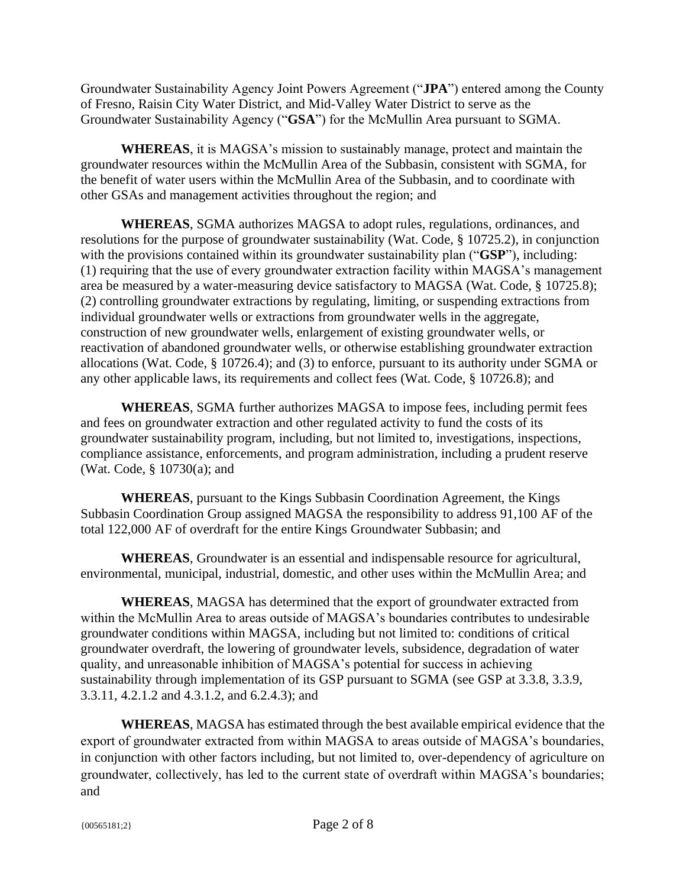Groundwater Sustainability Agency Joint Powers Agreement ("**JPA**") entered among the County of Fresno, Raisin City Water District, and Mid-Valley Water District to serve as the Groundwater Sustainability Agency ("**GSA**") for the McMullin Area pursuant to SGMA.

**WHEREAS**, it is MAGSA's mission to sustainably manage, protect and maintain the groundwater resources within the McMullin Area of the Subbasin, consistent with SGMA, for the benefit of water users within the McMullin Area of the Subbasin, and to coordinate with other GSAs and management activities throughout the region; and

**WHEREAS**, SGMA authorizes MAGSA to adopt rules, regulations, ordinances, and resolutions for the purpose of groundwater sustainability (Wat. Code, § 10725.2), in conjunction with the provisions contained within its groundwater sustainability plan ("**GSP**"), including: (1) requiring that the use of every groundwater extraction facility within MAGSA's management area be measured by a water-measuring device satisfactory to MAGSA (Wat. Code, § 10725.8); (2) controlling groundwater extractions by regulating, limiting, or suspending extractions from individual groundwater wells or extractions from groundwater wells in the aggregate, construction of new groundwater wells, enlargement of existing groundwater wells, or reactivation of abandoned groundwater wells, or otherwise establishing groundwater extraction allocations (Wat. Code, § 10726.4); and (3) to enforce, pursuant to its authority under SGMA or any other applicable laws, its requirements and collect fees (Wat. Code, § 10726.8); and

**WHEREAS**, SGMA further authorizes MAGSA to impose fees, including permit fees and fees on groundwater extraction and other regulated activity to fund the costs of its groundwater sustainability program, including, but not limited to, investigations, inspections, compliance assistance, enforcements, and program administration, including a prudent reserve (Wat. Code, § 10730(a); and

**WHEREAS**, pursuant to the Kings Subbasin Coordination Agreement, the Kings Subbasin Coordination Group assigned MAGSA the responsibility to address 91,100 AF of the total 122,000 AF of overdraft for the entire Kings Groundwater Subbasin; and

**WHEREAS**, Groundwater is an essential and indispensable resource for agricultural, environmental, municipal, industrial, domestic, and other uses within the McMullin Area; and

**WHEREAS**, MAGSA has determined that the export of groundwater extracted from within the McMullin Area to areas outside of MAGSA's boundaries contributes to undesirable groundwater conditions within MAGSA, including but not limited to: conditions of critical groundwater overdraft, the lowering of groundwater levels, subsidence, degradation of water quality, and unreasonable inhibition of MAGSA's potential for success in achieving sustainability through implementation of its GSP pursuant to SGMA (see GSP at 3.3.8, 3.3.9, 3.3.11, 4.2.1.2 and 4.3.1.2, and 6.2.4.3); and

**WHEREAS**, MAGSA has estimated through the best available empirical evidence that the export of groundwater extracted from within MAGSA to areas outside of MAGSA's boundaries, in conjunction with other factors including, but not limited to, over-dependency of agriculture on groundwater, collectively, has led to the current state of overdraft within MAGSA's boundaries; and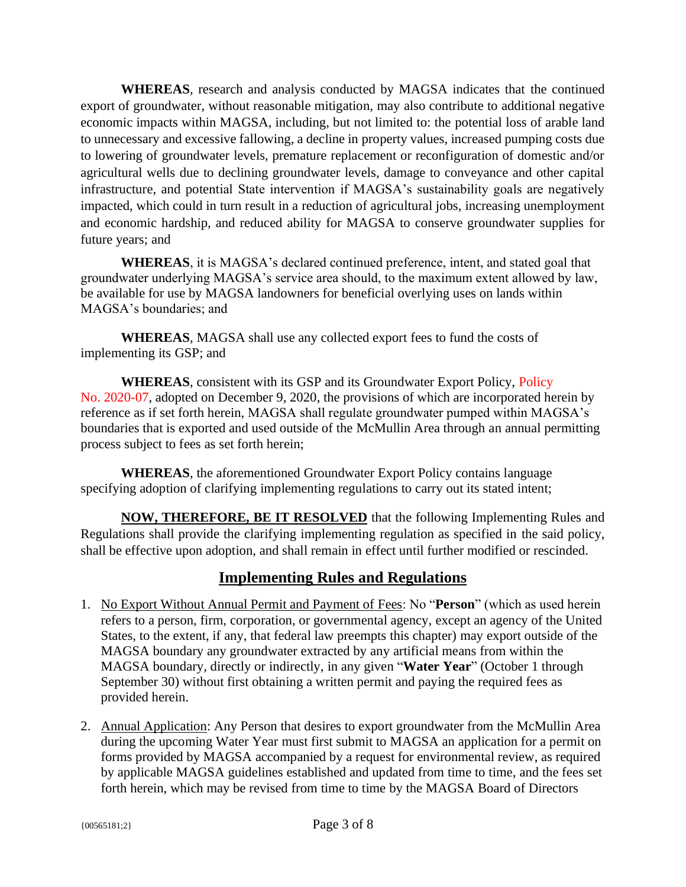**WHEREAS**, research and analysis conducted by MAGSA indicates that the continued export of groundwater, without reasonable mitigation, may also contribute to additional negative economic impacts within MAGSA, including, but not limited to: the potential loss of arable land to unnecessary and excessive fallowing, a decline in property values, increased pumping costs due to lowering of groundwater levels, premature replacement or reconfiguration of domestic and/or agricultural wells due to declining groundwater levels, damage to conveyance and other capital infrastructure, and potential State intervention if MAGSA's sustainability goals are negatively impacted, which could in turn result in a reduction of agricultural jobs, increasing unemployment and economic hardship, and reduced ability for MAGSA to conserve groundwater supplies for future years; and

**WHEREAS**, it is MAGSA's declared continued preference, intent, and stated goal that groundwater underlying MAGSA's service area should, to the maximum extent allowed by law, be available for use by MAGSA landowners for beneficial overlying uses on lands within MAGSA's boundaries; and

**WHEREAS**, MAGSA shall use any collected export fees to fund the costs of implementing its GSP; and

**WHEREAS**, consistent with its GSP and its Groundwater Export Policy, Policy No. 2020-07, adopted on December 9, 2020, the provisions of which are incorporated herein by reference as if set forth herein, MAGSA shall regulate groundwater pumped within MAGSA's boundaries that is exported and used outside of the McMullin Area through an annual permitting process subject to fees as set forth herein;

**WHEREAS**, the aforementioned Groundwater Export Policy contains language specifying adoption of clarifying implementing regulations to carry out its stated intent;

**NOW, THEREFORE, BE IT RESOLVED** that the following Implementing Rules and Regulations shall provide the clarifying implementing regulation as specified in the said policy, shall be effective upon adoption, and shall remain in effect until further modified or rescinded.

# **Implementing Rules and Regulations**

- 1. No Export Without Annual Permit and Payment of Fees: No "**Person**" (which as used herein refers to a person, firm, corporation, or governmental agency, except an agency of the United States, to the extent, if any, that federal law preempts this chapter) may export outside of the MAGSA boundary any groundwater extracted by any artificial means from within the MAGSA boundary, directly or indirectly, in any given "**Water Year**" (October 1 through September 30) without first obtaining a written permit and paying the required fees as provided herein.
- 2. Annual Application: Any Person that desires to export groundwater from the McMullin Area during the upcoming Water Year must first submit to MAGSA an application for a permit on forms provided by MAGSA accompanied by a request for environmental review, as required by applicable MAGSA guidelines established and updated from time to time, and the fees set forth herein, which may be revised from time to time by the MAGSA Board of Directors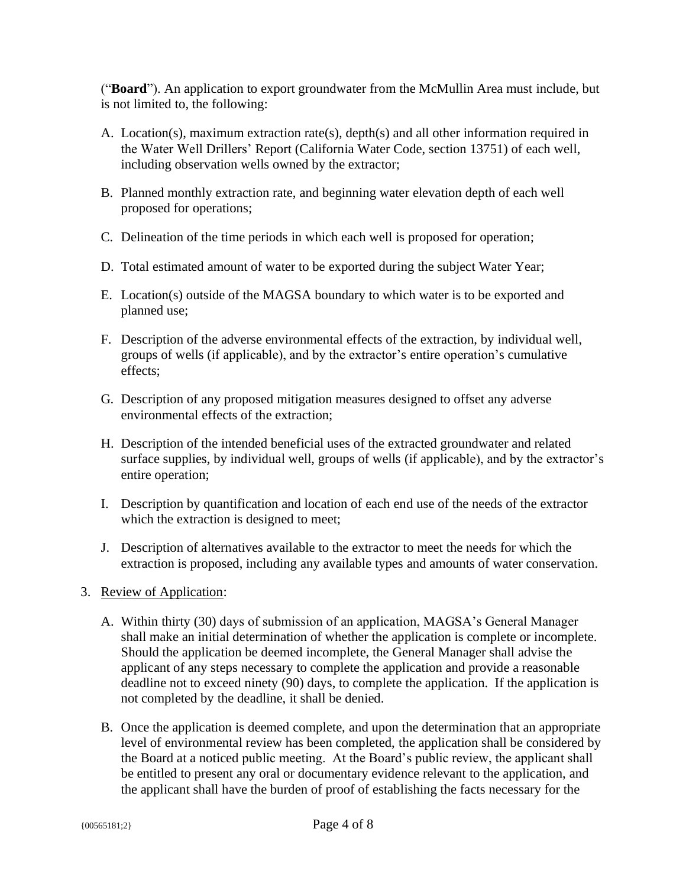("**Board**"). An application to export groundwater from the McMullin Area must include, but is not limited to, the following:

- A. Location(s), maximum extraction rate(s), depth(s) and all other information required in the Water Well Drillers' Report (California Water Code, section 13751) of each well, including observation wells owned by the extractor;
- B. Planned monthly extraction rate, and beginning water elevation depth of each well proposed for operations;
- C. Delineation of the time periods in which each well is proposed for operation;
- D. Total estimated amount of water to be exported during the subject Water Year;
- E. Location(s) outside of the MAGSA boundary to which water is to be exported and planned use;
- F. Description of the adverse environmental effects of the extraction, by individual well, groups of wells (if applicable), and by the extractor's entire operation's cumulative effects;
- G. Description of any proposed mitigation measures designed to offset any adverse environmental effects of the extraction;
- H. Description of the intended beneficial uses of the extracted groundwater and related surface supplies, by individual well, groups of wells (if applicable), and by the extractor's entire operation;
- I. Description by quantification and location of each end use of the needs of the extractor which the extraction is designed to meet;
- J. Description of alternatives available to the extractor to meet the needs for which the extraction is proposed, including any available types and amounts of water conservation.
- 3. Review of Application:
	- A. Within thirty (30) days of submission of an application, MAGSA's General Manager shall make an initial determination of whether the application is complete or incomplete. Should the application be deemed incomplete, the General Manager shall advise the applicant of any steps necessary to complete the application and provide a reasonable deadline not to exceed ninety (90) days, to complete the application. If the application is not completed by the deadline, it shall be denied.
	- B. Once the application is deemed complete, and upon the determination that an appropriate level of environmental review has been completed, the application shall be considered by the Board at a noticed public meeting. At the Board's public review, the applicant shall be entitled to present any oral or documentary evidence relevant to the application, and the applicant shall have the burden of proof of establishing the facts necessary for the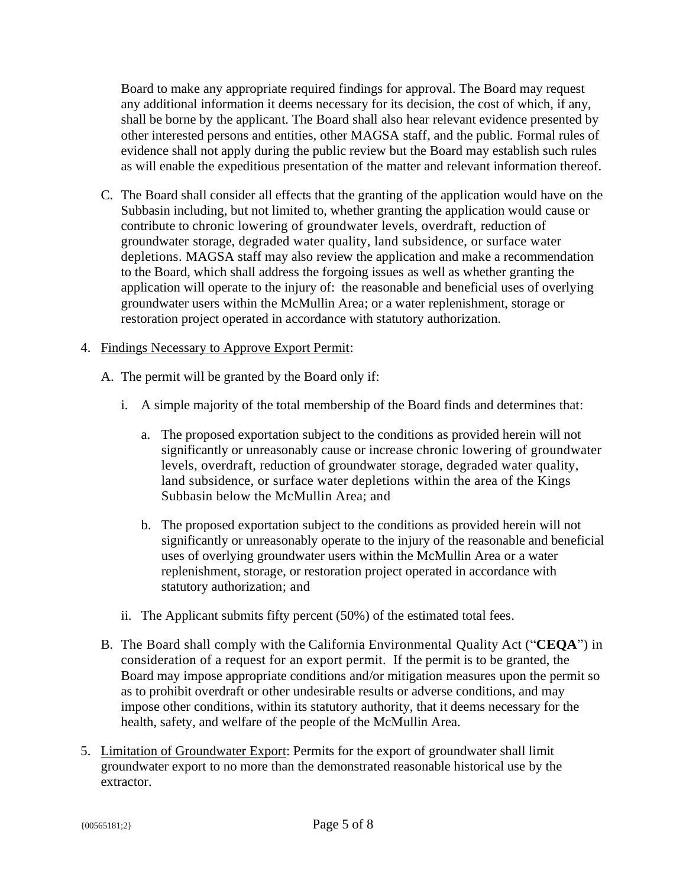Board to make any appropriate required findings for approval. The Board may request any additional information it deems necessary for its decision, the cost of which, if any, shall be borne by the applicant. The Board shall also hear relevant evidence presented by other interested persons and entities, other MAGSA staff, and the public. Formal rules of evidence shall not apply during the public review but the Board may establish such rules as will enable the expeditious presentation of the matter and relevant information thereof.

C. The Board shall consider all effects that the granting of the application would have on the Subbasin including, but not limited to, whether granting the application would cause or contribute to chronic lowering of groundwater levels, overdraft, reduction of groundwater storage, degraded water quality, land subsidence, or surface water depletions. MAGSA staff may also review the application and make a recommendation to the Board, which shall address the forgoing issues as well as whether granting the application will operate to the injury of: the reasonable and beneficial uses of overlying groundwater users within the McMullin Area; or a water replenishment, storage or restoration project operated in accordance with statutory authorization.

# 4. Findings Necessary to Approve Export Permit:

- A. The permit will be granted by the Board only if:
	- i. A simple majority of the total membership of the Board finds and determines that:
		- a. The proposed exportation subject to the conditions as provided herein will not significantly or unreasonably cause or increase chronic lowering of groundwater levels, overdraft, reduction of groundwater storage, degraded water quality, land subsidence, or surface water depletions within the area of the Kings Subbasin below the McMullin Area; and
		- b. The proposed exportation subject to the conditions as provided herein will not significantly or unreasonably operate to the injury of the reasonable and beneficial uses of overlying groundwater users within the McMullin Area or a water replenishment, storage, or restoration project operated in accordance with statutory authorization; and
	- ii. The Applicant submits fifty percent (50%) of the estimated total fees.
- B. The Board shall comply with the California Environmental Quality Act ("**CEQA**") in consideration of a request for an export permit. If the permit is to be granted, the Board may impose appropriate conditions and/or mitigation measures upon the permit so as to prohibit overdraft or other undesirable results or adverse conditions, and may impose other conditions, within its statutory authority, that it deems necessary for the health, safety, and welfare of the people of the McMullin Area.
- 5. Limitation of Groundwater Export: Permits for the export of groundwater shall limit groundwater export to no more than the demonstrated reasonable historical use by the extractor.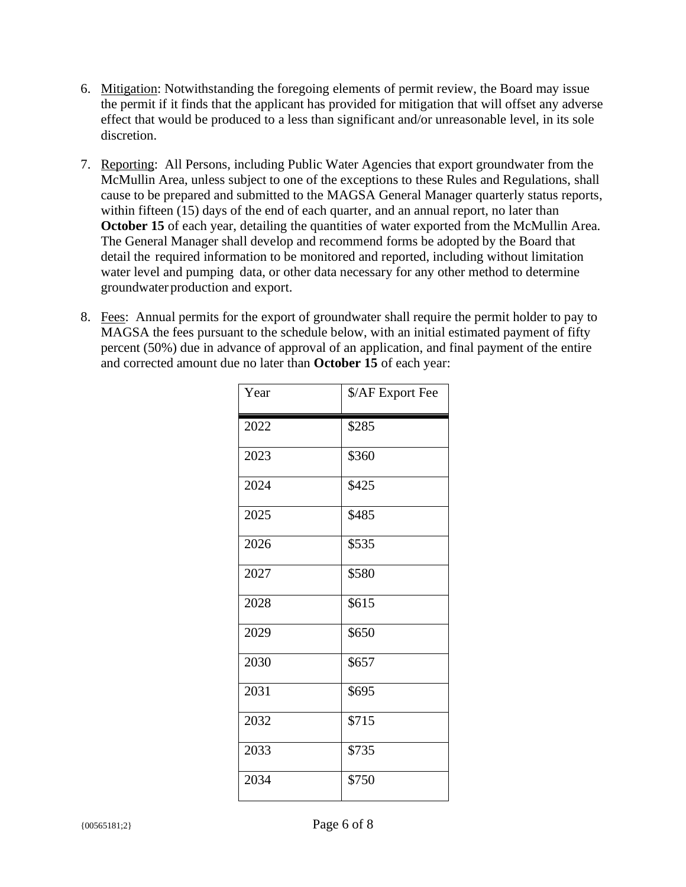- 6. Mitigation: Notwithstanding the foregoing elements of permit review, the Board may issue the permit if it finds that the applicant has provided for mitigation that will offset any adverse effect that would be produced to a less than significant and/or unreasonable level, in its sole discretion.
- 7. Reporting: All Persons, including Public Water Agencies that export groundwater from the McMullin Area, unless subject to one of the exceptions to these Rules and Regulations, shall cause to be prepared and submitted to the MAGSA General Manager quarterly status reports, within fifteen (15) days of the end of each quarter, and an annual report, no later than **October 15** of each year, detailing the quantities of water exported from the McMullin Area. The General Manager shall develop and recommend forms be adopted by the Board that detail the required information to be monitored and reported, including without limitation water level and pumping data, or other data necessary for any other method to determine groundwater production and export.
- 8. Fees: Annual permits for the export of groundwater shall require the permit holder to pay to MAGSA the fees pursuant to the schedule below, with an initial estimated payment of fifty percent (50%) due in advance of approval of an application, and final payment of the entire and corrected amount due no later than **October 15** of each year:

| Year | \$/AF Export Fee |
|------|------------------|
| 2022 | \$285            |
| 2023 | \$360            |
| 2024 | \$425            |
| 2025 | \$485            |
| 2026 | \$535            |
| 2027 | \$580            |
| 2028 | \$615            |
| 2029 | \$650            |
| 2030 | \$657            |
| 2031 | \$695            |
| 2032 | \$715            |
| 2033 | \$735            |
| 2034 | \$750            |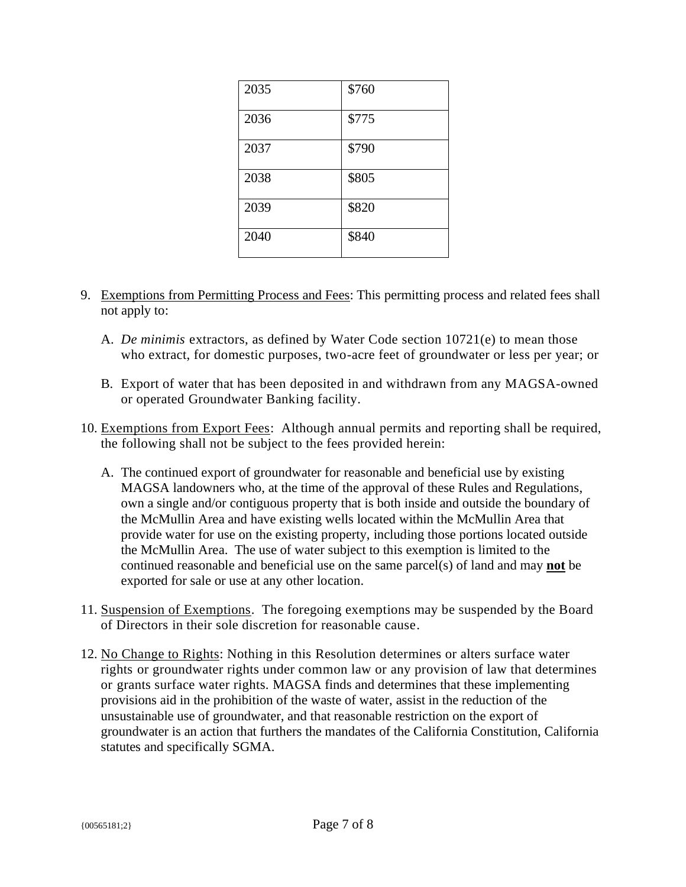| 2035 | \$760 |
|------|-------|
| 2036 | \$775 |
| 2037 | \$790 |
| 2038 | \$805 |
| 2039 | \$820 |
| 2040 | \$840 |

- 9. Exemptions from Permitting Process and Fees: This permitting process and related fees shall not apply to:
	- A. *De minimis* extractors, as defined by Water Code section 10721(e) to mean those who extract, for domestic purposes, two-acre feet of groundwater or less per year; or
	- B. Export of water that has been deposited in and withdrawn from any MAGSA-owned or operated Groundwater Banking facility.
- 10. Exemptions from Export Fees: Although annual permits and reporting shall be required, the following shall not be subject to the fees provided herein:
	- A. The continued export of groundwater for reasonable and beneficial use by existing MAGSA landowners who, at the time of the approval of these Rules and Regulations, own a single and/or contiguous property that is both inside and outside the boundary of the McMullin Area and have existing wells located within the McMullin Area that provide water for use on the existing property, including those portions located outside the McMullin Area. The use of water subject to this exemption is limited to the continued reasonable and beneficial use on the same parcel(s) of land and may **not** be exported for sale or use at any other location.
- 11. Suspension of Exemptions. The foregoing exemptions may be suspended by the Board of Directors in their sole discretion for reasonable cause.
- 12. No Change to Rights: Nothing in this Resolution determines or alters surface water rights or groundwater rights under common law or any provision of law that determines or grants surface water rights. MAGSA finds and determines that these implementing provisions aid in the prohibition of the waste of water, assist in the reduction of the unsustainable use of groundwater, and that reasonable restriction on the export of groundwater is an action that furthers the mandates of the California Constitution, California statutes and specifically SGMA.